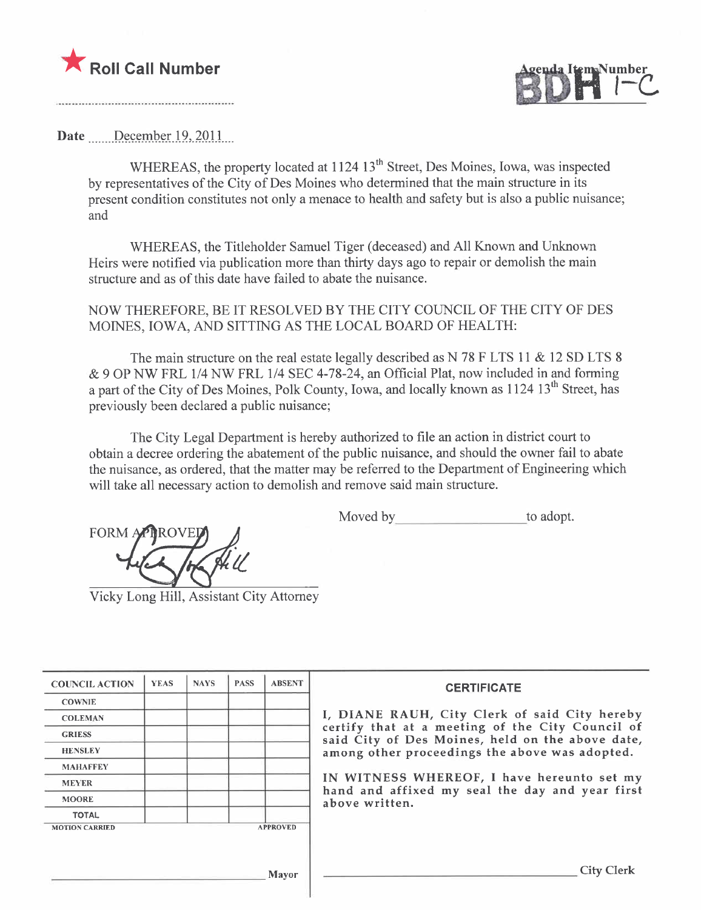



Date December 19, 2011

WHEREAS, the property located at 1124 13<sup>th</sup> Street, Des Moines, Iowa, was inspected by representatives of the City of Des Moines who determined that the main structure in its present condition constitutes not only a menace to health and safety but is also a public nuisance; and

WHEREAS, the Titleholder Samuel Tiger (deceased) and All Known and Unknown Heirs were notified via publication more than thirty days ago to repair or demolish the main structure and as of this date have failed to abate the nuisance.

NOW THEREFORE, BE IT RESOLVED BY THE CITY COUNCIL OF THE CITY OF DES MOINES, IOWA, AND SITTING AS THE LOCAL BOARD OF HEALTH:

The main structure on the real estate legally described as N 78 F LTS 11  $&$  12 SD LTS 8 & 9 OP NW FRL 1/4 NW FRL 1/4 SEC 4-78-24, an Offcial Plat, now included in and forming a part of the City of Des Moines, Polk County, Iowa, and locally known as 1124 13<sup>th</sup> Street, has previously been declared a public nuisance;

The City Legal Department is hereby authorized to file an action in district court to obtain a decree ordering the abatement of the public nuisance, and should the owner fail to abate the nuisance, as ordered, that the matter may be referred to the Department of Engineering which will take all necessary action to demolish and remove said main structure.

Moved by to adopt.

FORM APPROVED 1

Vicky Long Hill, Assistant City Attorney

| <b>COUNCIL ACTION</b> | <b>YEAS</b> | <b>NAYS</b> | <b>PASS</b> | <b>ABSENT</b>   | <b>CERTIFICATE</b>                                                                                   |
|-----------------------|-------------|-------------|-------------|-----------------|------------------------------------------------------------------------------------------------------|
| <b>COWNIE</b>         |             |             |             |                 |                                                                                                      |
| <b>COLEMAN</b>        |             |             |             |                 | I, DIANE RAUH, City Clerk of said City hereby                                                        |
| <b>GRIESS</b>         |             |             |             |                 | certify that at a meeting of the City Council of<br>said City of Des Moines, held on the above date, |
| <b>HENSLEY</b>        |             |             |             |                 | among other proceedings the above was adopted.                                                       |
| <b>MAHAFFEY</b>       |             |             |             |                 |                                                                                                      |
| <b>MEYER</b>          |             |             |             |                 | IN WITNESS WHEREOF, I have hereunto set my<br>hand and affixed my seal the day and year first        |
| <b>MOORE</b>          |             |             |             |                 | above written.                                                                                       |
| <b>TOTAL</b>          |             |             |             |                 |                                                                                                      |
| <b>MOTION CARRIED</b> |             |             |             | <b>APPROVED</b> |                                                                                                      |
|                       |             |             |             |                 |                                                                                                      |
|                       |             |             |             | Mayor           | <b>City Clerk</b>                                                                                    |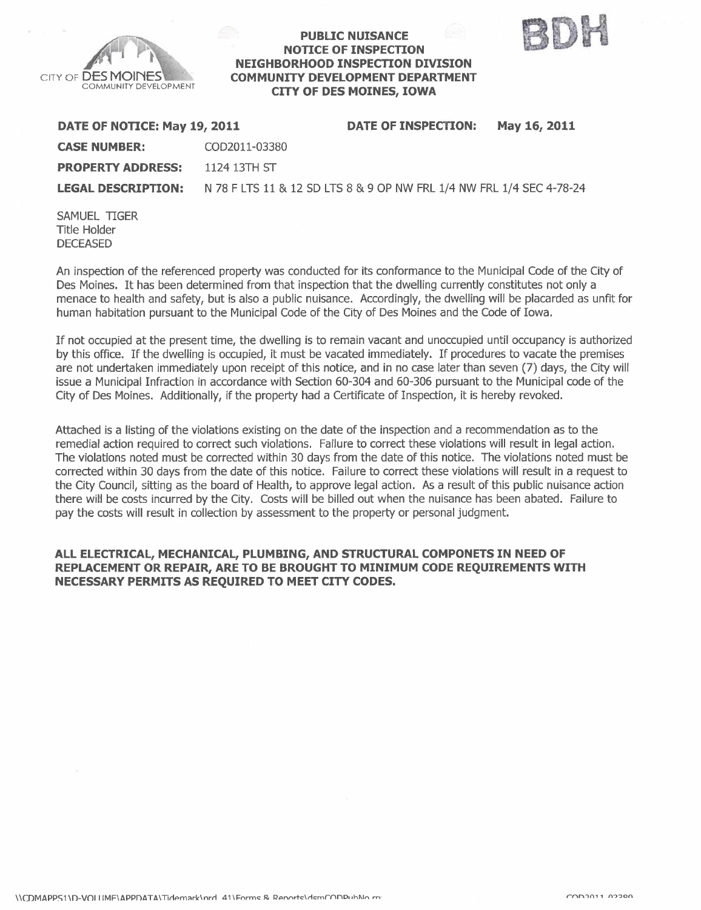

DECEASED

### PUBLIC NUISANCE NOTICE OF INSPECTION NEIGHBORHOOD INSPECTION DIVISION COMMUNITY DEVELOPMENT DEPARTMENT CITY OF DES MOINES, IOWA



| DATE OF NOTICE: May 19, 2011        |               | <b>DATE OF INSPECTION:</b>                                           | May 16, 2011 |
|-------------------------------------|---------------|----------------------------------------------------------------------|--------------|
| <b>CASE NUMBER:</b>                 | COD2011-03380 |                                                                      |              |
| <b>PROPERTY ADDRESS:</b>            | 1124 13TH ST  |                                                                      |              |
| <b>LEGAL DESCRIPTION:</b>           |               | N 78 F LTS 11 & 12 SD LTS 8 & 9 OP NW FRL 1/4 NW FRL 1/4 SEC 4-78-24 |              |
| SAMUEL TIGER<br><b>Title Holder</b> |               |                                                                      |              |

An inspection of the referenced property was conducted for its conformance to the Municipal Code of the City of Des Moines. It has been determined from that inspection that the dwelling currently constitutes not only a menace to health and safety, but is also a public nuisance. Accordingly, the dwelling will be placarded as unfit for human habitation pursuant to the Municipal Code of the City of Des Moines and the Code of Iowa.

If not occupied at the present time, the dwelling is to remain vacant and unoccupied until occupancy is authorized by this office. If the dwelling is occupied, it must be vacated immediately. If procedures to vacate the premises are not undertaken immediately upon receipt of this notice, and in no case later than seven (7) days, the City will issue a Municipal Infraction in accordance with Section 60-304 and 60-306 pursuant to the Municipal code of the City of Des Moines. Additionally, if the property had a Certificate of Inspection, it is hereby revoked.

Attached is a listing of the violations existing on the date of the inspection and a recommendation as to the remedial action required to correct such violations. Failure to correct these violations will result in legal action. The violations noted must be corrected within 30 days from the date of this notice. The violations noted must be corrected within 30 days from the date of this notice. Failure to correct these violations wil result in a request to the City Council, sitting as the board of Health, to approve legal action. As a result of this public nuisance action there will be costs incurred by the City. Costs will be billed out when the nuisance has been abated. Failure to pay the costs will result in collection by assessment to the property or personal judgment.

### ALL ELECTRICAL, MECHANICAL, PLUMBING, AND STRUCTURAL COMPONETS IN NEED OF REPLACEMENT OR REPAIR, ARE TO BE BROUGHT TO MINIMUM CODE REQUIREMENTS WITH NECESSARY PERMITS AS REQUIRED TO MEET CITY CODES.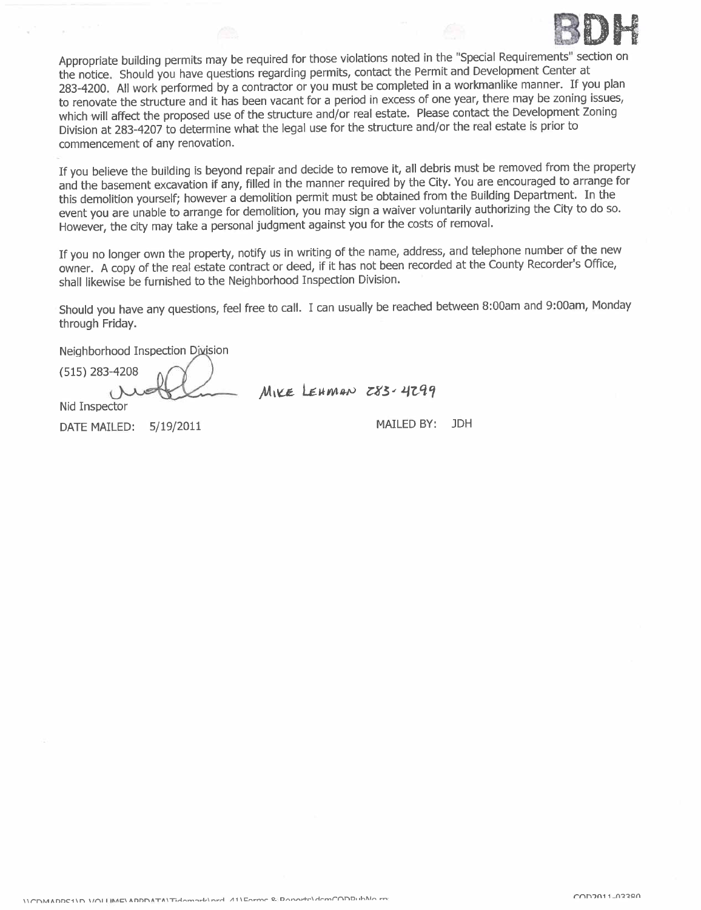

Appropriate building permits may be required for those violations noted in the "Special Requirements" section on the notice. Should you have questions regarding permits, contact the Permit and Development Center at 283-4200. All work performed by a contractor or you must be completed in a workmanlike manner. If you plan to renovate the structure and it has been vacant for a period in excess of one year, there may be zoning issues, which will affect the proposed use of the structure and/or real estate. Please contact the Development Zoning Division at 283-4207 to determine what the legal use for the structure and/or the real estate is prior to commencement of any renovation.

If you believe the building is beyond repair and decide to remove it, all debris must be removed from the propert and the basement excavation if any, filed in the manner required by the City. You are encouraged to arrange for this demolition yourself; however a demolition permit must be obtained from the Building Department. In the event you are unable to arrange for demolition, you may sign a waiver voluntarily authorizing the City to do so. However, the city may take a personal judgment against you for the costs of removaL.

If you no longer own the property, notify us in writing of the name, address, and telephone number of the new owner. A copy of the real estate contract or deed, if it has not been recorded at the County Recorder's Office, shall likewise be furnished to the Neighborhood Inspection Division.

Should you have any questions, feel free to calL. I can usually be reached between 8:00am and 9:00am, Monday through Friday.

Neighborhood Inspection Division

(515) 283-4208 Nid Inspector

DATE MAILED: 5/19/2011 MAILED BY: JDH

 $M_1$ KE LEHMAN  $Z83.4299$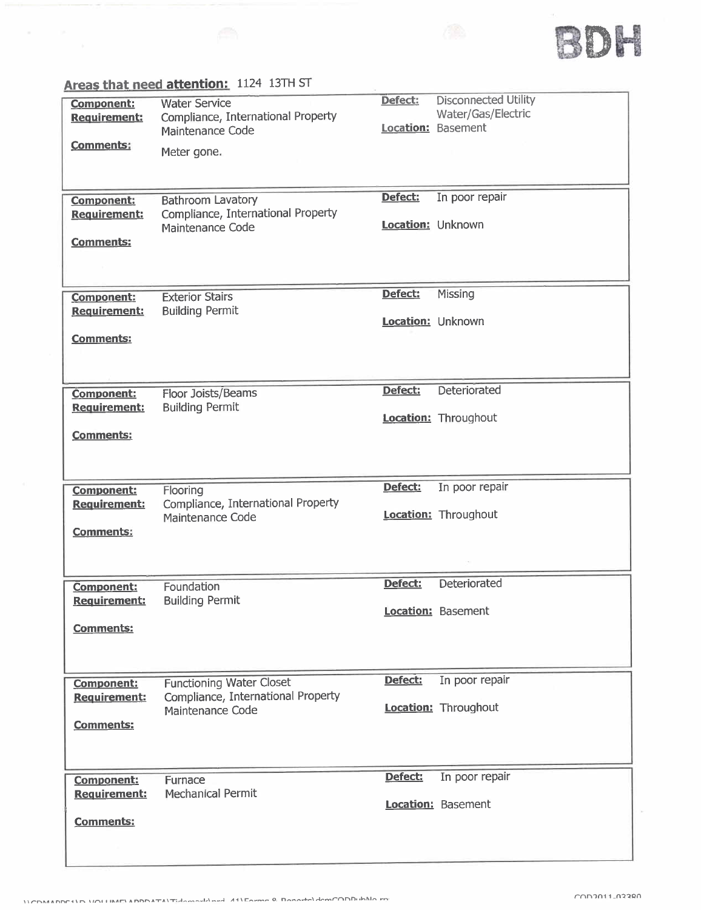

## Areas that need attention: 1124 13TH ST

| <u> TI CUD BING ING BING ADDITION</u>    |                                                                                    |                              |                                                                         |
|------------------------------------------|------------------------------------------------------------------------------------|------------------------------|-------------------------------------------------------------------------|
| <b>Component:</b><br><b>Requirement:</b> | <b>Water Service</b><br>Compliance, International Property<br>Maintenance Code     | Defect:                      | <b>Disconnected Utility</b><br>Water/Gas/Electric<br>Location: Basement |
| Comments:                                | Meter gone.                                                                        |                              |                                                                         |
|                                          |                                                                                    |                              |                                                                         |
| <b>Component:</b><br><b>Requirement:</b> | <b>Bathroom Lavatory</b><br>Compliance, International Property<br>Maintenance Code | Defect:<br>Location: Unknown | In poor repair                                                          |
| <b>Comments:</b>                         |                                                                                    |                              |                                                                         |
|                                          |                                                                                    |                              |                                                                         |
| <b>Component:</b>                        | <b>Exterior Stairs</b>                                                             | Defect:                      | Missing                                                                 |
| Requirement:                             | <b>Building Permit</b>                                                             |                              | Location: Unknown                                                       |
| <b>Comments:</b>                         |                                                                                    |                              |                                                                         |
| <b>Component:</b>                        | Floor Joists/Beams                                                                 | Defect:                      | Deteriorated                                                            |
| <b>Requirement:</b>                      | <b>Building Permit</b>                                                             |                              | Location: Throughout                                                    |
| <b>Comments:</b>                         |                                                                                    |                              |                                                                         |
| <b>Component:</b>                        | Flooring                                                                           | Defect:                      | In poor repair                                                          |
| Requirement:                             | Compliance, International Property<br><b>Maintenance Code</b>                      |                              | Location: Throughout                                                    |
| <b>Comments:</b>                         |                                                                                    |                              |                                                                         |
|                                          |                                                                                    |                              |                                                                         |
| Component:                               | Foundation                                                                         | Defect:                      | Deteriorated                                                            |
| <b>Requirement:</b>                      | <b>Building Permit</b>                                                             |                              | Location: Basement                                                      |
| <b>Comments:</b>                         |                                                                                    |                              |                                                                         |
| Component:                               | <b>Functioning Water Closet</b>                                                    | Defect:                      | In poor repair                                                          |
| <b>Requirement:</b>                      | Compliance, International Property<br>Maintenance Code                             |                              | Location: Throughout                                                    |
| <b>Comments:</b>                         |                                                                                    |                              |                                                                         |
| <b>Component:</b>                        | Furnace                                                                            | Defect:                      | In poor repair                                                          |
| <b>Requirement:</b>                      | <b>Mechanical Permit</b>                                                           |                              | <b>Location:</b> Basement                                               |
| Comments:                                |                                                                                    |                              |                                                                         |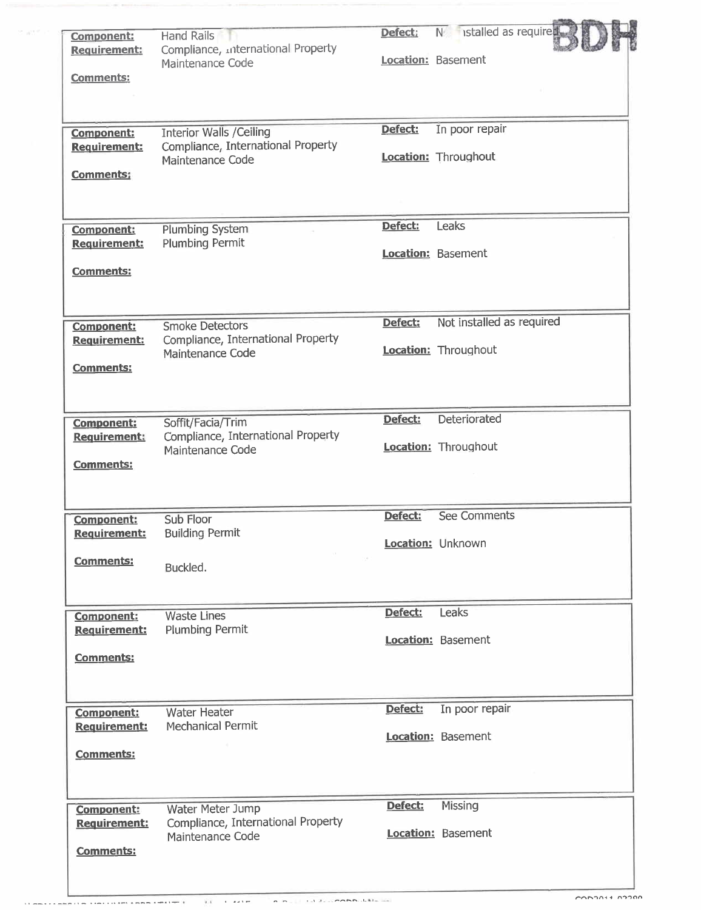| <b>Component:</b><br><b>Requirement:</b> | <b>Hand Rails</b><br>Compliance, international Property               | Defect: | $N$ istalled as required.   |
|------------------------------------------|-----------------------------------------------------------------------|---------|-----------------------------|
|                                          | Maintenance Code                                                      |         | Location: Basement          |
| <b>Comments:</b>                         |                                                                       |         |                             |
|                                          |                                                                       |         |                             |
| <b>Component:</b>                        | <b>Interior Walls / Ceiling</b><br>Compliance, International Property | Defect: | In poor repair              |
| Requirement:                             | Maintenance Code                                                      |         | Location: Throughout        |
| <b>Comments:</b>                         |                                                                       |         |                             |
|                                          |                                                                       |         |                             |
| <b>Component:</b>                        | <b>Plumbing System</b>                                                | Defect: | Leaks                       |
| Requirement:                             | <b>Plumbing Permit</b>                                                |         | <b>Location: Basement</b>   |
| <b>Comments:</b>                         |                                                                       |         |                             |
|                                          |                                                                       |         |                             |
| <b>Component:</b>                        | <b>Smoke Detectors</b>                                                | Defect: | Not installed as required   |
| Requirement:                             | Compliance, International Property<br>Maintenance Code                |         | Location: Throughout        |
| <b>Comments:</b>                         |                                                                       |         |                             |
|                                          |                                                                       |         |                             |
| <b>Component:</b>                        | Soffit/Facia/Trim                                                     | Defect: | Deteriorated                |
| <b>Requirement:</b>                      | Compliance, International Property<br><b>Maintenance Code</b>         |         | <b>Location:</b> Throughout |
| <b>Comments:</b>                         |                                                                       |         |                             |
|                                          |                                                                       |         |                             |
| Component:                               | Sub Floor                                                             | Defect: | <b>See Comments</b>         |
| Requirement:                             | <b>Building Permit</b>                                                |         | Location: Unknown           |
| <b>Comments:</b>                         | Buckled.                                                              |         |                             |
|                                          |                                                                       |         |                             |
|                                          |                                                                       | Defect: | Leaks                       |
| <b>Component:</b><br><b>Requirement:</b> | <b>Waste Lines</b><br><b>Plumbing Permit</b>                          |         |                             |
| <b>Comments:</b>                         |                                                                       |         | <b>Location:</b> Basement   |
|                                          |                                                                       |         |                             |
|                                          |                                                                       |         |                             |
| <b>Component:</b><br><b>Requirement:</b> | <b>Water Heater</b><br><b>Mechanical Permit</b>                       | Defect: | In poor repair              |
| <b>Comments:</b>                         |                                                                       |         | <b>Location: Basement</b>   |
|                                          |                                                                       |         |                             |
|                                          |                                                                       |         |                             |
| <b>Component:</b><br>Requirement:        | Water Meter Jump<br>Compliance, International Property                | Defect: | Missing                     |
|                                          | Maintenance Code                                                      |         | Location: Basement          |
| <b>Comments:</b>                         |                                                                       |         |                             |
|                                          |                                                                       |         |                             |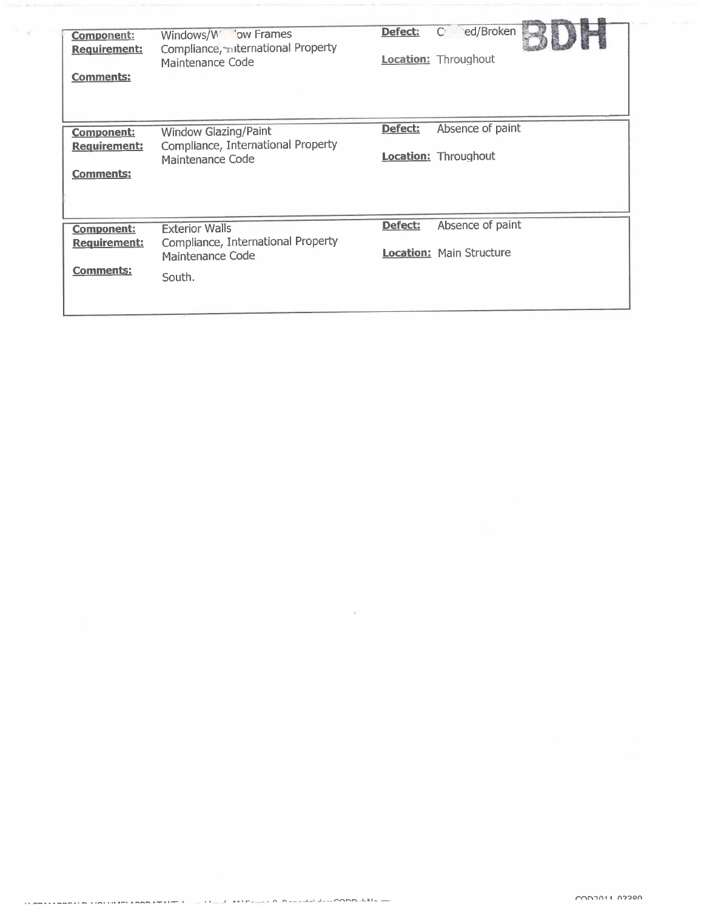| <b>Component:</b><br><b>Requirement:</b> | Windows/W 'ow Frames<br>Compliance, miternational Property<br>Maintenance Code | C ed/Broken<br>Defect:<br><b>Location:</b> Throughout |
|------------------------------------------|--------------------------------------------------------------------------------|-------------------------------------------------------|
| <b>Comments:</b>                         |                                                                                |                                                       |
| <b>Component:</b><br>Requirement:        | <b>Window Glazing/Paint</b><br>Compliance, International Property              | Absence of paint<br>Defect:                           |
| <b>Comments:</b>                         | Maintenance Code                                                               | <b>Location: Throughout</b>                           |
|                                          |                                                                                |                                                       |
| <b>Component:</b>                        | <b>Exterior Walls</b><br>Compliance, International Property                    | Absence of paint<br>Defect:                           |
| <b>Requirement:</b>                      | Maintenance Code                                                               | <b>Location: Main Structure</b>                       |
| <b>Comments:</b>                         | South.                                                                         |                                                       |

 $\sim 100$ 

Control of Carolina and Control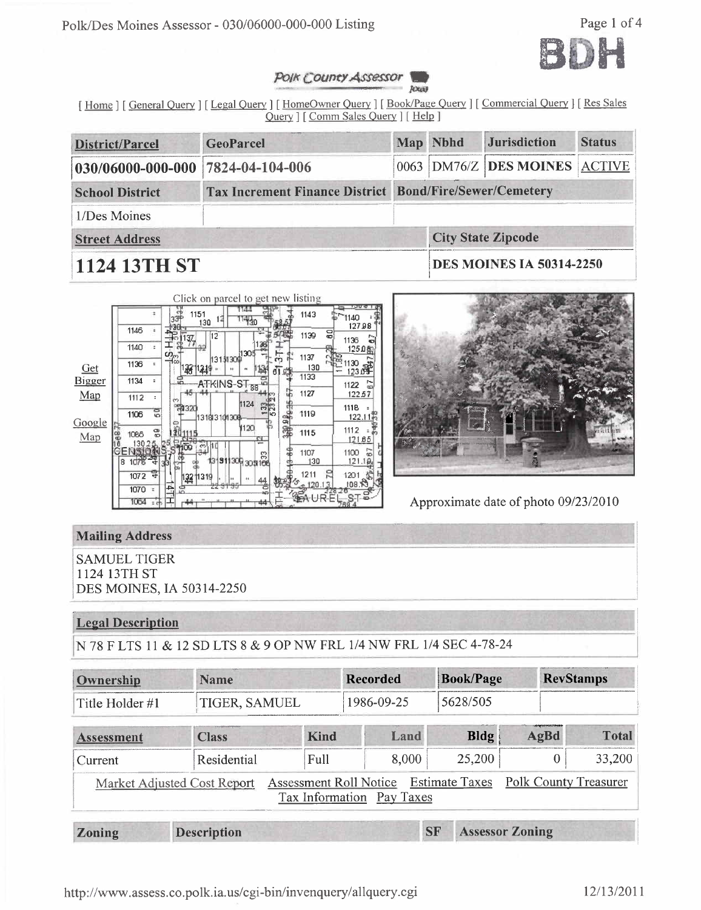

#### POIK County Assessor Joan

[Home] [General Query] [Legal Query] [HomeOwner Query] [Book/Page Query] [Commercial Query] [Res Sales Query ] [Comm Sales Query ] [ Help ]

| <b>District/Parcel</b>                                                                   | <b>GeoParcel</b> |  | Map Nbhd                        | <b>Jurisdiction</b>           | <b>Status</b> |  |
|------------------------------------------------------------------------------------------|------------------|--|---------------------------------|-------------------------------|---------------|--|
| 030/06000-000-000 7824-04-104-006                                                        |                  |  |                                 | 0063 DM76/Z DES MOINES ACTIVE |               |  |
| <b>Tax Increment Finance District Bond/Fire/Sewer/Cemetery</b><br><b>School District</b> |                  |  |                                 |                               |               |  |
| 1/Des Moines                                                                             |                  |  |                                 |                               |               |  |
| <b>Street Address</b>                                                                    |                  |  |                                 | <b>City State Zipcode</b>     |               |  |
| 1124 13TH ST                                                                             |                  |  | <b>DES MOINES IA 50314-2250</b> |                               |               |  |

|        | Click on parcel to get new listing                                 |                                   |
|--------|--------------------------------------------------------------------|-----------------------------------|
|        | 144<br>1151<br>1143<br>13<br>130                                   | ਾ ਹਾ ਰ<br>1140                    |
|        | 1146<br>ន<br>$\frac{1}{2}$<br>1139<br>$12 \overline{ }$<br>137,    | 12798<br>ូ<br>1136                |
|        | 工<br>1140<br>ż.<br>片<br>1305<br>$\mathcal{Q}_\mathcal{P}$          | 125 0配                            |
| Get    | 1137<br>13131309<br>₹lco<br>1136<br>t,<br>130<br>₩<br>61.8<br>×,   | $123 - 38$                        |
| Bigger | 1133<br>1134<br>÷<br>ATKINS-ST <sub>88</sub>                       | G<br>1122                         |
| Map    | 1127<br>1112<br>÷<br>ల<br>1124                                     | 122.57                            |
| Google | "第320<br>罸<br>밊<br>1119<br>kö<br>1106<br>131813101308<br>œ         | 1118<br>122.1                     |
| Map    | 120<br>89<br>1115<br>1086<br>130<br><b>START</b>                   | 1112<br>121.65                    |
|        | Õ9<br>m)<br>1107<br>31911309308168<br>107 <sup>2</sup><br>130<br>8 | 57<br>1100<br>121.19 <sub>4</sub> |
|        | 1211<br>₹<br>1072<br>133 1319<br>×.<br>$\frac{44}{6}$<br>120       | 1201<br>(08.83)                   |
|        | $\ddot{\tau}$<br>ă<br>1070<br>Ŧ<br>uti<br>UR-<br>1064<br>44        | RQ.                               |



Approximate date of photo 09/23/2010

# **Mailing Address**

**SAMUEL TIGER** 1124 13TH ST DES MOINES, IA 50314-2250

## **Legal Description**

N 78 F LTS 11 & 12 SD LTS 8 & 9 OP NW FRL 1/4 NW FRL 1/4 SEC 4-78-24

| Ownership         | <b>Name</b>                 |      |                                                            | <b>Book/Page</b>      |                              | <b>RevStamps</b> |  |
|-------------------|-----------------------------|------|------------------------------------------------------------|-----------------------|------------------------------|------------------|--|
| Title Holder #1   | <b>TIGER, SAMUEL</b>        |      | 1986-09-25                                                 | 5628/505              |                              |                  |  |
| <b>Assessment</b> | <b>Class</b>                | Kind | Land                                                       | <b>Bldg</b>           | AgBd                         | <b>Total</b>     |  |
| Current           | Residential                 | Full | 8,000                                                      | 25,200                | 0                            | 33,200           |  |
|                   | Market Adjusted Cost Report |      | <b>Assessment Roll Notice</b><br>Tax Information Pay Taxes | <b>Estimate Taxes</b> | <b>Polk County Treasurer</b> |                  |  |
| <b>Zoning</b>     | <b>Description</b>          |      |                                                            | <b>SF</b>             | <b>Assessor Zoning</b>       |                  |  |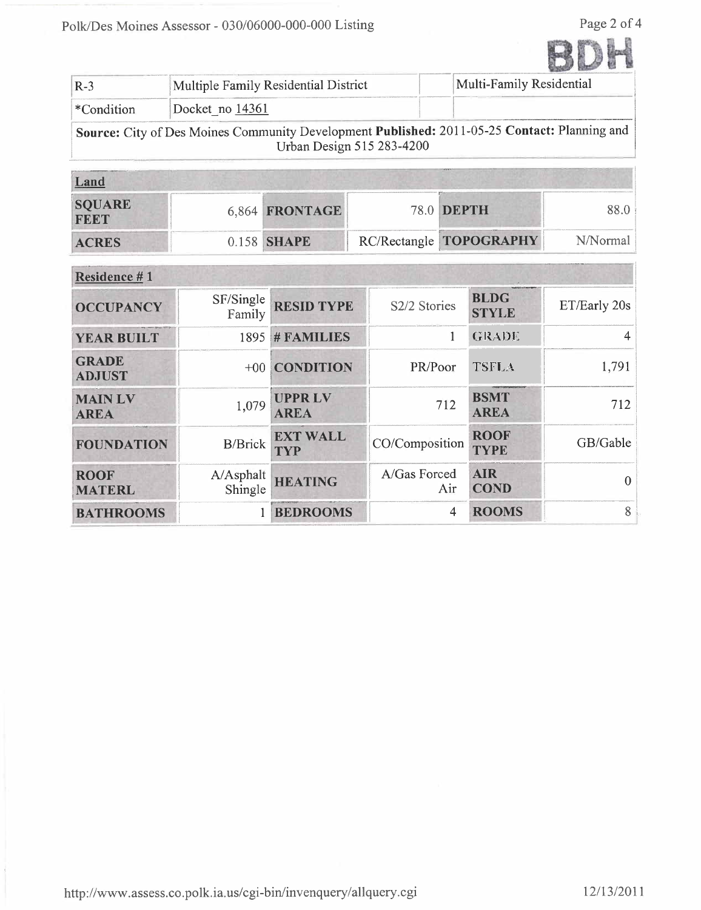



| $R-3$      | Multiple Family Residential District                                                         | Multi-Family Residential |
|------------|----------------------------------------------------------------------------------------------|--------------------------|
| *Condition | Docket no 14361                                                                              |                          |
|            | Source: City of Des Moines Community Development Published: 2011-05-25 Contact: Planning and |                          |
|            | Urban Design 515 283-4200                                                                    |                          |

| Land                         |                |                                |          |
|------------------------------|----------------|--------------------------------|----------|
| <b>SQUARE</b><br><b>FEET</b> | 6,864 FRONTAGE | <b>78.0 DEPTH</b>              | 88.0-    |
| <b>ACRES</b>                 | 0.158 SHAPE    | RC/Rectangle <b>TOPOGRAPHY</b> | N/Normal |

| Residence #1                  |                      |                               |                     |                             |              |
|-------------------------------|----------------------|-------------------------------|---------------------|-----------------------------|--------------|
| <b>OCCUPANCY</b>              | SF/Single<br>Family  | <b>RESID TYPE</b>             | S2/2 Stories        | <b>BLDG</b><br><b>STYLE</b> | ET/Early 20s |
| <b>YEAR BUILT</b>             | 1895                 | # FAMILIES                    |                     | <b>GRADE</b>                | 4            |
| <b>GRADE</b><br><b>ADJUST</b> |                      | +00 CONDITION                 | PR/Poor             | <b>TSFLA</b>                | 1,791        |
| <b>MAIN LV</b><br><b>AREA</b> | 1,079                | <b>UPPRLV</b><br><b>AREA</b>  | 712                 | <b>BSMT</b><br><b>AREA</b>  | 712          |
| <b>FOUNDATION</b>             | <b>B/Brick</b>       | <b>EXT WALL</b><br><b>TYP</b> | CO/Composition      | <b>ROOF</b><br><b>TYPE</b>  | GB/Gable     |
| <b>ROOF</b><br><b>MATERL</b>  | A/Asphalt<br>Shingle | <b>HEATING</b>                | A/Gas Forced<br>Air | <b>AIR</b><br><b>COND</b>   | $\Omega$     |
| <b>BATHROOMS</b>              |                      | <b>BEDROOMS</b>               | 4                   | <b>ROOMS</b>                | 8            |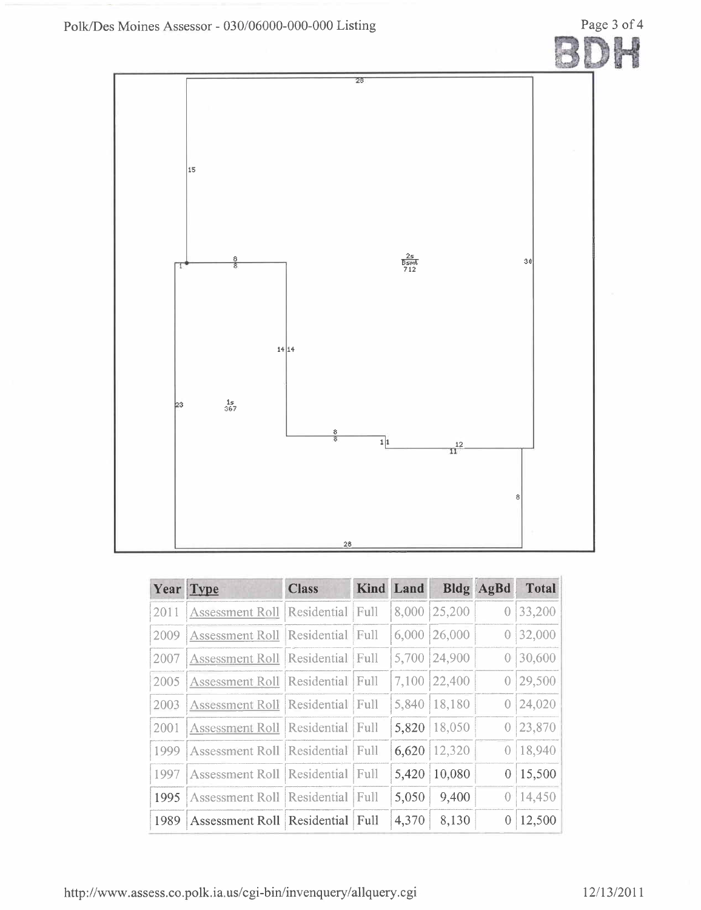

|      | Year Type              | <b>Class</b> |      | <b>Kind Land</b> |        | <b>Bldg</b> AgBd | <b>Total</b> |
|------|------------------------|--------------|------|------------------|--------|------------------|--------------|
| 2011 | <b>Assessment Roll</b> | Residential  | Full | 8,000            | 25,200 |                  | 33,200       |
| 2009 | <b>Assessment Roll</b> | Residential  | Full | 6,000            | 26,000 |                  | 32,000       |
| 2007 | <b>Assessment Roll</b> | Residential  | Full | 5,700            | 24,900 |                  | 30,600       |
| 2005 | <b>Assessment Roll</b> | Residential  | Full | 7,100            | 22,400 |                  | 29,500       |
| 2003 | <b>Assessment Roll</b> | Residential  | Full | 5,840            | 18,180 |                  | 24,020       |
| 2001 | <b>Assessment Roll</b> | Residential  | Full | 5,820            | 18,050 |                  | 23,870       |
| 1999 | <b>Assessment Roll</b> | Residential  | Full | 6,620            | 12,320 |                  | 18,940       |
| 1997 | <b>Assessment Roll</b> | Residential  | Full | 5,420            | 10,080 | 0                | 15,500       |
| 1995 | <b>Assessment Roll</b> | Residential  | Full | 5,050            | 9,400  |                  | 14,450       |
| 1989 | <b>Assessment Roll</b> | Residential  | Full | 4,370            | 8,130  |                  | 12,500       |